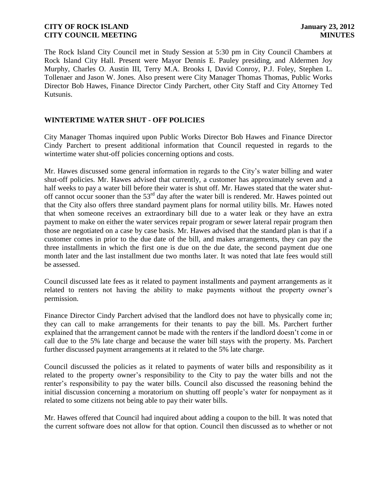The Rock Island City Council met in Study Session at 5:30 pm in City Council Chambers at Rock Island City Hall. Present were Mayor Dennis E. Pauley presiding, and Aldermen Joy Murphy, Charles O. Austin III, Terry M.A. Brooks I, David Conroy, P.J. Foley, Stephen L. Tollenaer and Jason W. Jones. Also present were City Manager Thomas Thomas, Public Works Director Bob Hawes, Finance Director Cindy Parchert, other City Staff and City Attorney Ted Kutsunis.

### **WINTERTIME WATER SHUT - OFF POLICIES**

City Manager Thomas inquired upon Public Works Director Bob Hawes and Finance Director Cindy Parchert to present additional information that Council requested in regards to the wintertime water shut-off policies concerning options and costs.

Mr. Hawes discussed some general information in regards to the City's water billing and water shut-off policies. Mr. Hawes advised that currently, a customer has approximately seven and a half weeks to pay a water bill before their water is shut off. Mr. Hawes stated that the water shutoff cannot occur sooner than the 53<sup>rd</sup> day after the water bill is rendered. Mr. Hawes pointed out that the City also offers three standard payment plans for normal utility bills. Mr. Hawes noted that when someone receives an extraordinary bill due to a water leak or they have an extra payment to make on either the water services repair program or sewer lateral repair program then those are negotiated on a case by case basis. Mr. Hawes advised that the standard plan is that if a customer comes in prior to the due date of the bill, and makes arrangements, they can pay the three installments in which the first one is due on the due date, the second payment due one month later and the last installment due two months later. It was noted that late fees would still be assessed.

Council discussed late fees as it related to payment installments and payment arrangements as it related to renters not having the ability to make payments without the property owner's permission.

Finance Director Cindy Parchert advised that the landlord does not have to physically come in; they can call to make arrangements for their tenants to pay the bill. Ms. Parchert further explained that the arrangement cannot be made with the renters if the landlord doesn't come in or call due to the 5% late charge and because the water bill stays with the property. Ms. Parchert further discussed payment arrangements at it related to the 5% late charge.

Council discussed the policies as it related to payments of water bills and responsibility as it related to the property owner's responsibility to the City to pay the water bills and not the renter's responsibility to pay the water bills. Council also discussed the reasoning behind the initial discussion concerning a moratorium on shutting off people's water for nonpayment as it related to some citizens not being able to pay their water bills.

Mr. Hawes offered that Council had inquired about adding a coupon to the bill. It was noted that the current software does not allow for that option. Council then discussed as to whether or not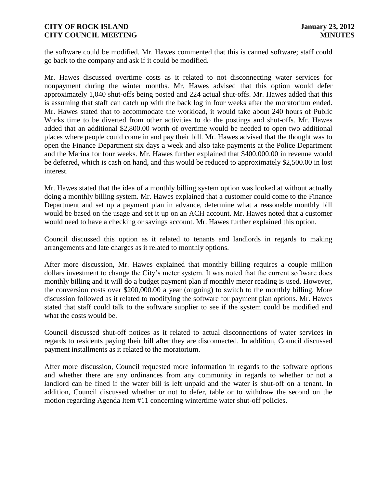the software could be modified. Mr. Hawes commented that this is canned software; staff could go back to the company and ask if it could be modified.

Mr. Hawes discussed overtime costs as it related to not disconnecting water services for nonpayment during the winter months. Mr. Hawes advised that this option would defer approximately 1,040 shut-offs being posted and 224 actual shut-offs. Mr. Hawes added that this is assuming that staff can catch up with the back log in four weeks after the moratorium ended. Mr. Hawes stated that to accommodate the workload, it would take about 240 hours of Public Works time to be diverted from other activities to do the postings and shut-offs. Mr. Hawes added that an additional \$2,800.00 worth of overtime would be needed to open two additional places where people could come in and pay their bill. Mr. Hawes advised that the thought was to open the Finance Department six days a week and also take payments at the Police Department and the Marina for four weeks. Mr. Hawes further explained that \$400,000.00 in revenue would be deferred, which is cash on hand, and this would be reduced to approximately \$2,500.00 in lost interest.

Mr. Hawes stated that the idea of a monthly billing system option was looked at without actually doing a monthly billing system. Mr. Hawes explained that a customer could come to the Finance Department and set up a payment plan in advance, determine what a reasonable monthly bill would be based on the usage and set it up on an ACH account. Mr. Hawes noted that a customer would need to have a checking or savings account. Mr. Hawes further explained this option.

Council discussed this option as it related to tenants and landlords in regards to making arrangements and late charges as it related to monthly options.

After more discussion, Mr. Hawes explained that monthly billing requires a couple million dollars investment to change the City's meter system. It was noted that the current software does monthly billing and it will do a budget payment plan if monthly meter reading is used. However, the conversion costs over \$200,000.00 a year (ongoing) to switch to the monthly billing. More discussion followed as it related to modifying the software for payment plan options. Mr. Hawes stated that staff could talk to the software supplier to see if the system could be modified and what the costs would be.

Council discussed shut-off notices as it related to actual disconnections of water services in regards to residents paying their bill after they are disconnected. In addition, Council discussed payment installments as it related to the moratorium.

After more discussion, Council requested more information in regards to the software options and whether there are any ordinances from any community in regards to whether or not a landlord can be fined if the water bill is left unpaid and the water is shut-off on a tenant. In addition, Council discussed whether or not to defer, table or to withdraw the second on the motion regarding Agenda Item #11 concerning wintertime water shut-off policies.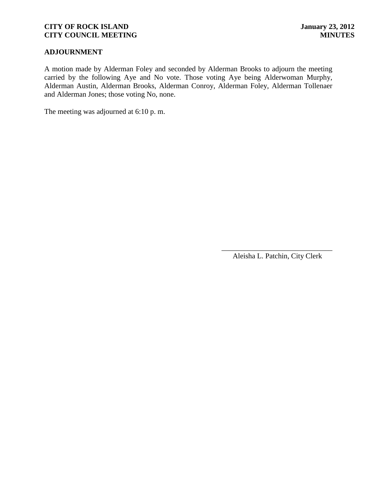## **ADJOURNMENT**

A motion made by Alderman Foley and seconded by Alderman Brooks to adjourn the meeting carried by the following Aye and No vote. Those voting Aye being Alderwoman Murphy, Alderman Austin, Alderman Brooks, Alderman Conroy, Alderman Foley, Alderman Tollenaer and Alderman Jones; those voting No, none.

The meeting was adjourned at 6:10 p. m.

\_\_\_\_\_\_\_\_\_\_\_\_\_\_\_\_\_\_\_\_\_\_\_\_\_\_\_\_\_\_ Aleisha L. Patchin, City Clerk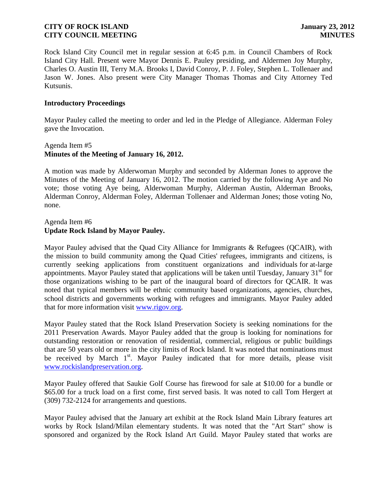Rock Island City Council met in regular session at 6:45 p.m. in Council Chambers of Rock Island City Hall. Present were Mayor Dennis E. Pauley presiding, and Aldermen Joy Murphy, Charles O. Austin III, Terry M.A. Brooks I, David Conroy, P. J. Foley, Stephen L. Tollenaer and Jason W. Jones. Also present were City Manager Thomas Thomas and City Attorney Ted Kutsunis.

### **Introductory Proceedings**

Mayor Pauley called the meeting to order and led in the Pledge of Allegiance. Alderman Foley gave the Invocation.

## Agenda Item #5 **Minutes of the Meeting of January 16, 2012.**

A motion was made by Alderwoman Murphy and seconded by Alderman Jones to approve the Minutes of the Meeting of January 16, 2012. The motion carried by the following Aye and No vote; those voting Aye being, Alderwoman Murphy, Alderman Austin, Alderman Brooks, Alderman Conroy, Alderman Foley, Alderman Tollenaer and Alderman Jones; those voting No, none.

## Agenda Item #6 **Update Rock Island by Mayor Pauley.**

Mayor Pauley advised that the Quad City Alliance for Immigrants & Refugees (QCAIR), with the mission to build community among the Quad Cities' refugees, immigrants and citizens, is currently seeking applications from constituent organizations and individuals for at-large appointments. Mayor Pauley stated that applications will be taken until Tuesday, January  $31<sup>st</sup>$  for those organizations wishing to be part of the inaugural board of directors for QCAIR. It was noted that typical members will be ethnic community based organizations, agencies, churches, school districts and governments working with refugees and immigrants. Mayor Pauley added that for more information visit [www.rigov.org.](http://www.rigov.org/)

Mayor Pauley stated that the Rock Island Preservation Society is seeking nominations for the 2011 Preservation Awards. Mayor Pauley added that the group is looking for nominations for outstanding restoration or renovation of residential, commercial, religious or public buildings that are 50 years old or more in the city limits of Rock Island. It was noted that nominations must be received by March 1<sup>st</sup>. Mayor Pauley indicated that for more details, please visit [www.rockislandpreservation.org.](http://www.rockislandpreservation.org/)

Mayor Pauley offered that Saukie Golf Course has firewood for sale at \$10.00 for a bundle or \$65.00 for a truck load on a first come, first served basis. It was noted to call Tom Hergert at (309) 732-2124 for arrangements and questions.

Mayor Pauley advised that the January art exhibit at the Rock Island Main Library features art works by Rock Island/Milan elementary students. It was noted that the "Art Start" show is sponsored and organized by the Rock Island Art Guild. Mayor Pauley stated that works are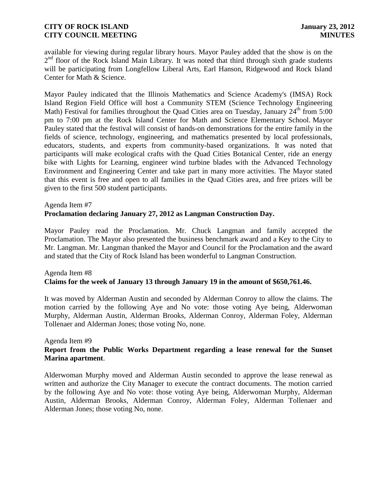available for viewing during regular library hours. Mayor Pauley added that the show is on the 2<sup>nd</sup> floor of the Rock Island Main Library. It was noted that third through sixth grade students will be participating from Longfellow Liberal Arts, Earl Hanson, Ridgewood and Rock Island Center for Math & Science.

Mayor Pauley indicated that the Illinois Mathematics and Science Academy's (IMSA) Rock Island Region Field Office will host a Community STEM (Science Technology Engineering Math) Festival for families throughout the Quad Cities area on Tuesday, January  $24<sup>th</sup>$  from 5:00 pm to 7:00 pm at the Rock Island Center for Math and Science Elementary School. Mayor Pauley stated that the festival will consist of hands-on demonstrations for the entire family in the fields of science, technology, engineering, and mathematics presented by local professionals, educators, students, and experts from community-based organizations. It was noted that participants will make ecological crafts with the Quad Cities Botanical Center, ride an energy bike with Lights for Learning, engineer wind turbine blades with the Advanced Technology Environment and Engineering Center and take part in many more activities. The Mayor stated that this event is free and open to all families in the Quad Cities area, and free prizes will be given to the first 500 student participants.

## Agenda Item #7 **Proclamation declaring January 27, 2012 as Langman Construction Day.**

Mayor Pauley read the Proclamation. Mr. Chuck Langman and family accepted the Proclamation. The Mayor also presented the business benchmark award and a Key to the City to Mr. Langman. Mr. Langman thanked the Mayor and Council for the Proclamation and the award and stated that the City of Rock Island has been wonderful to Langman Construction.

# Agenda Item #8 **Claims for the week of January 13 through January 19 in the amount of \$650,761.46.**

It was moved by Alderman Austin and seconded by Alderman Conroy to allow the claims. The motion carried by the following Aye and No vote: those voting Aye being, Alderwoman Murphy, Alderman Austin, Alderman Brooks, Alderman Conroy, Alderman Foley, Alderman Tollenaer and Alderman Jones; those voting No, none.

### Agenda Item #9

## **Report from the Public Works Department regarding a lease renewal for the Sunset Marina apartment**.

 Alderwoman Murphy moved and Alderman Austin seconded to approve the lease renewal as written and authorize the City Manager to execute the contract documents. The motion carried by the following Aye and No vote: those voting Aye being, Alderwoman Murphy, Alderman Austin, Alderman Brooks, Alderman Conroy, Alderman Foley, Alderman Tollenaer and Alderman Jones; those voting No, none.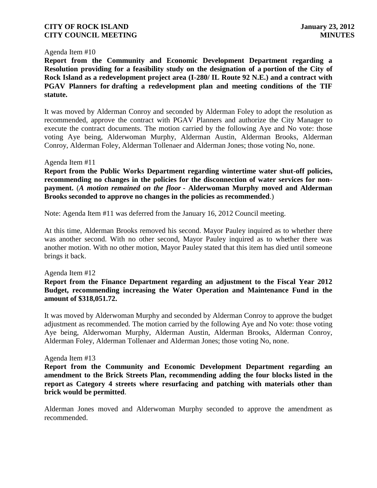#### Agenda Item #10

**Report from the Community and Economic Development Department regarding a Resolution providing for a feasibility study on the designation of a portion of the City of Rock Island as a redevelopment project area (I-280/ IL Route 92 N.E.) and a contract with PGAV Planners for drafting a redevelopment plan and meeting conditions of the TIF statute.** 

It was moved by Alderman Conroy and seconded by Alderman Foley to adopt the resolution as recommended, approve the contract with PGAV Planners and authorize the City Manager to execute the contract documents. The motion carried by the following Aye and No vote: those voting Aye being, Alderwoman Murphy, Alderman Austin, Alderman Brooks, Alderman Conroy, Alderman Foley, Alderman Tollenaer and Alderman Jones; those voting No, none.

#### Agenda Item #11

**Report from the Public Works Department regarding wintertime water shut-off policies, recommending no changes in the policies for the disconnection of water services for nonpayment.** (*A motion remained on the floor* **- Alderwoman Murphy moved and Alderman Brooks seconded to approve no changes in the policies as recommended**.)

Note: Agenda Item #11 was deferred from the January 16, 2012 Council meeting.

At this time, Alderman Brooks removed his second. Mayor Pauley inquired as to whether there was another second. With no other second, Mayor Pauley inquired as to whether there was another motion. With no other motion, Mayor Pauley stated that this item has died until someone brings it back.

#### Agenda Item #12

### **Report from the Finance Department regarding an adjustment to the Fiscal Year 2012 Budget, recommending increasing the Water Operation and Maintenance Fund in the amount of \$318,051.72.**

It was moved by Alderwoman Murphy and seconded by Alderman Conroy to approve the budget adjustment as recommended. The motion carried by the following Aye and No vote: those voting Aye being, Alderwoman Murphy, Alderman Austin, Alderman Brooks, Alderman Conroy, Alderman Foley, Alderman Tollenaer and Alderman Jones; those voting No, none.

#### Agenda Item #13

**Report from the Community and Economic Development Department regarding an amendment to the Brick Streets Plan, recommending adding the four blocks listed in the report as Category 4 streets where resurfacing and patching with materials other than brick would be permitted**.

Alderman Jones moved and Alderwoman Murphy seconded to approve the amendment as recommended.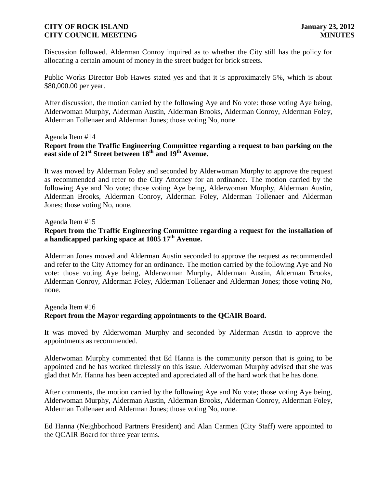Discussion followed. Alderman Conroy inquired as to whether the City still has the policy for allocating a certain amount of money in the street budget for brick streets.

Public Works Director Bob Hawes stated yes and that it is approximately 5%, which is about \$80,000.00 per year.

After discussion, the motion carried by the following Aye and No vote: those voting Aye being, Alderwoman Murphy, Alderman Austin, Alderman Brooks, Alderman Conroy, Alderman Foley, Alderman Tollenaer and Alderman Jones; those voting No, none.

#### Agenda Item #14

## **Report from the Traffic Engineering Committee regarding a request to ban parking on the east side of 21st Street between 18th and 19th Avenue.**

It was moved by Alderman Foley and seconded by Alderwoman Murphy to approve the request as recommended and refer to the City Attorney for an ordinance. The motion carried by the following Aye and No vote; those voting Aye being, Alderwoman Murphy, Alderman Austin, Alderman Brooks, Alderman Conroy, Alderman Foley, Alderman Tollenaer and Alderman Jones; those voting No, none.

#### Agenda Item #15

# **Report from the Traffic Engineering Committee regarding a request for the installation of a handicapped parking space at 1005 17th Avenue.**

Alderman Jones moved and Alderman Austin seconded to approve the request as recommended and refer to the City Attorney for an ordinance. The motion carried by the following Aye and No vote: those voting Aye being, Alderwoman Murphy, Alderman Austin, Alderman Brooks, Alderman Conroy, Alderman Foley, Alderman Tollenaer and Alderman Jones; those voting No, none.

# Agenda Item #16

### **Report from the Mayor regarding appointments to the QCAIR Board.**

It was moved by Alderwoman Murphy and seconded by Alderman Austin to approve the appointments as recommended.

Alderwoman Murphy commented that Ed Hanna is the community person that is going to be appointed and he has worked tirelessly on this issue. Alderwoman Murphy advised that she was glad that Mr. Hanna has been accepted and appreciated all of the hard work that he has done.

After comments, the motion carried by the following Aye and No vote; those voting Aye being, Alderwoman Murphy, Alderman Austin, Alderman Brooks, Alderman Conroy, Alderman Foley, Alderman Tollenaer and Alderman Jones; those voting No, none.

Ed Hanna (Neighborhood Partners President) and Alan Carmen (City Staff) were appointed to the QCAIR Board for three year terms.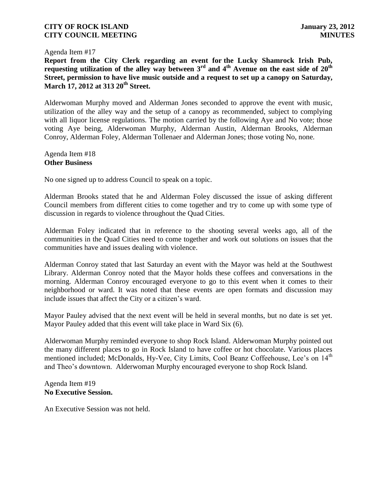#### Agenda Item #17

**Report from the City Clerk regarding an event for the Lucky Shamrock Irish Pub, requesting utilization of the alley way between 3rd and 4th Avenue on the east side of 20th Street, permission to have live music outside and a request to set up a canopy on Saturday, March 17, 2012 at 313 20th Street.**

Alderwoman Murphy moved and Alderman Jones seconded to approve the event with music, utilization of the alley way and the setup of a canopy as recommended, subject to complying with all liquor license regulations. The motion carried by the following Aye and No vote; those voting Aye being, Alderwoman Murphy, Alderman Austin, Alderman Brooks, Alderman Conroy, Alderman Foley, Alderman Tollenaer and Alderman Jones; those voting No, none.

Agenda Item #18 **Other Business**

No one signed up to address Council to speak on a topic.

Alderman Brooks stated that he and Alderman Foley discussed the issue of asking different Council members from different cities to come together and try to come up with some type of discussion in regards to violence throughout the Quad Cities.

Alderman Foley indicated that in reference to the shooting several weeks ago, all of the communities in the Quad Cities need to come together and work out solutions on issues that the communities have and issues dealing with violence.

Alderman Conroy stated that last Saturday an event with the Mayor was held at the Southwest Library. Alderman Conroy noted that the Mayor holds these coffees and conversations in the morning. Alderman Conroy encouraged everyone to go to this event when it comes to their neighborhood or ward. It was noted that these events are open formats and discussion may include issues that affect the City or a citizen's ward.

Mayor Pauley advised that the next event will be held in several months, but no date is set yet. Mayor Pauley added that this event will take place in Ward Six (6).

Alderwoman Murphy reminded everyone to shop Rock Island. Alderwoman Murphy pointed out the many different places to go in Rock Island to have coffee or hot chocolate. Various places mentioned included; McDonalds, Hy-Vee, City Limits, Cool Beanz Coffeehouse, Lee's on 14<sup>th</sup> and Theo's downtown. Alderwoman Murphy encouraged everyone to shop Rock Island.

#### Agenda Item #19 **No Executive Session.**

An Executive Session was not held.